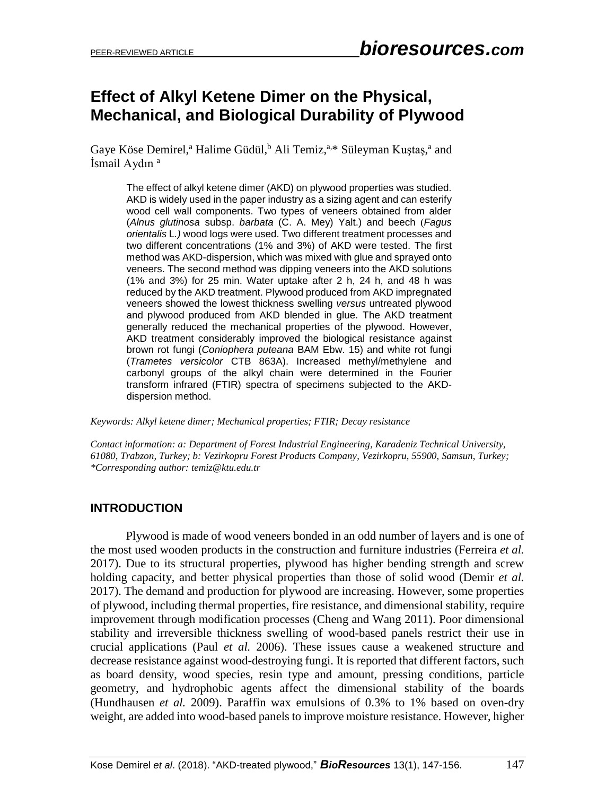# **Effect of Alkyl Ketene Dimer on the Physical, Mechanical, and Biological Durability of Plywood**

Gaye Köse Demirel,<sup>a</sup> Halime Güdül,<sup>b</sup> Ali Temiz,<sup>a,\*</sup> Süleyman Kuştaş,<sup>a</sup> and İsmail Aydın<sup>a</sup>

The effect of alkyl ketene dimer (AKD) on plywood properties was studied. AKD is widely used in the paper industry as a sizing agent and can esterify wood cell wall components. Two types of veneers obtained from alder (*Alnus glutinosa* subsp. *barbata* (C. A. Mey) Yalt.) and beech (*Fagus orientalis* L*.)* wood logs were used. Two different treatment processes and two different concentrations (1% and 3%) of AKD were tested. The first method was AKD-dispersion, which was mixed with glue and sprayed onto veneers. The second method was dipping veneers into the AKD solutions (1% and 3%) for 25 min. Water uptake after 2 h, 24 h, and 48 h was reduced by the AKD treatment. Plywood produced from AKD impregnated veneers showed the lowest thickness swelling *versus* untreated plywood and plywood produced from AKD blended in glue. The AKD treatment generally reduced the mechanical properties of the plywood. However, AKD treatment considerably improved the biological resistance against brown rot fungi (*Coniophera puteana* BAM Ebw. 15) and white rot fungi (*Trametes versicolor* CTB 863A). Increased methyl/methylene and carbonyl groups of the alkyl chain were determined in the Fourier transform infrared (FTIR) spectra of specimens subjected to the AKDdispersion method.

*Keywords: Alkyl ketene dimer; Mechanical properties; FTIR; Decay resistance*

*Contact information: a: Department of Forest Industrial Engineering, Karadeniz Technical University, 61080, Trabzon, Turkey; b: Vezirkopru Forest Products Company, Vezirkopru, 55900, Samsun, Turkey; \*Corresponding author: temiz@ktu.edu.tr*

# **INTRODUCTION**

Plywood is made of wood veneers bonded in an odd number of layers and is one of the most used wooden products in the construction and furniture industries (Ferreira *et al.* 2017). Due to its structural properties, plywood has higher bending strength and screw holding capacity, and better physical properties than those of solid wood (Demir *et al.* 2017). The demand and production for plywood are increasing. However, some properties of plywood, including thermal properties, fire resistance, and dimensional stability, require improvement through modification processes (Cheng and Wang 2011). Poor dimensional stability and irreversible thickness swelling of wood-based panels restrict their use in crucial applications (Paul *et al.* 2006). These issues cause a weakened structure and decrease resistance against wood-destroying fungi. It is reported that different factors, such as board density, wood species, resin type and amount, pressing conditions, particle geometry, and hydrophobic agents affect the dimensional stability of the boards (Hundhausen *et al.* 2009). Paraffin wax emulsions of 0.3% to 1% based on oven-dry weight, are added into wood-based panels to improve moisture resistance. However, higher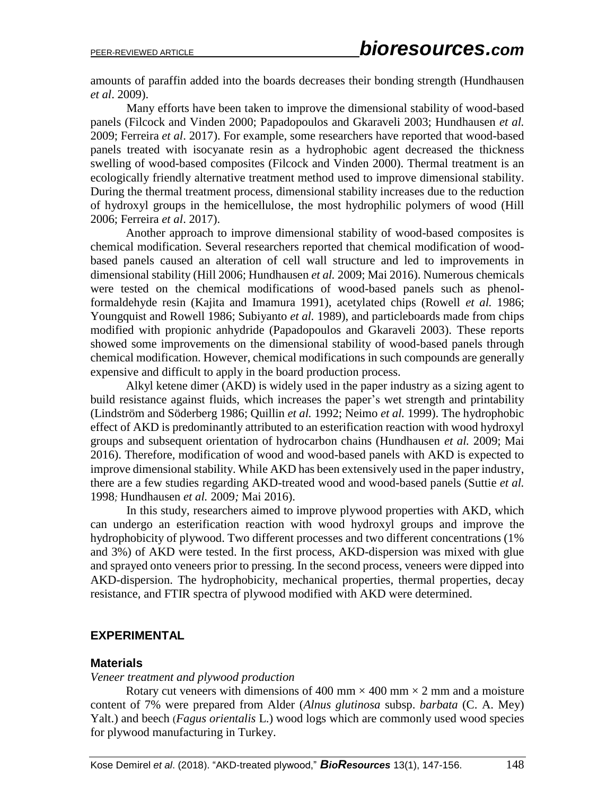amounts of paraffin added into the boards decreases their bonding strength (Hundhausen *et al*. 2009).

Many efforts have been taken to improve the dimensional stability of wood-based panels (Filcock and Vinden 2000; Papadopoulos and Gkaraveli 2003; Hundhausen *et al.* 2009; Ferreira *et al*. 2017). For example, some researchers have reported that wood-based panels treated with isocyanate resin as a hydrophobic agent decreased the thickness swelling of wood-based composites (Filcock and Vinden 2000). Thermal treatment is an ecologically friendly alternative treatment method used to improve dimensional stability. During the thermal treatment process, dimensional stability increases due to the reduction of hydroxyl groups in the hemicellulose, the most hydrophilic polymers of wood (Hill 2006; Ferreira *et al*. 2017).

Another approach to improve dimensional stability of wood-based composites is chemical modification. Several researchers reported that chemical modification of woodbased panels caused an alteration of cell wall structure and led to improvements in dimensional stability (Hill 2006; Hundhausen *et al.* 2009; Mai 2016). Numerous chemicals were tested on the chemical modifications of wood-based panels such as phenolformaldehyde resin (Kajita and Imamura 1991), acetylated chips (Rowell *et al.* 1986; Youngquist and Rowell 1986; Subiyanto *et al.* 1989), and particleboards made from chips modified with propionic anhydride (Papadopoulos and Gkaraveli 2003). These reports showed some improvements on the dimensional stability of wood-based panels through chemical modification. However, chemical modifications in such compounds are generally expensive and difficult to apply in the board production process.

Alkyl ketene dimer (AKD) is widely used in the paper industry as a sizing agent to build resistance against fluids, which increases the paper's wet strength and printability (Lindström and Söderberg 1986; Quillin *et al.* 1992; Neimo *et al.* 1999). The hydrophobic effect of AKD is predominantly attributed to an esterification reaction with wood hydroxyl groups and subsequent orientation of hydrocarbon chains (Hundhausen *et al.* 2009; Mai 2016). Therefore, modification of wood and wood-based panels with AKD is expected to improve dimensional stability. While AKD has been extensively used in the paper industry, there are a few studies regarding AKD-treated wood and wood-based panels (Suttie *et al.* 1998*;* Hundhausen *et al.* 2009*;* Mai 2016).

In this study, researchers aimed to improve plywood properties with AKD, which can undergo an esterification reaction with wood hydroxyl groups and improve the hydrophobicity of plywood. Two different processes and two different concentrations (1% and 3%) of AKD were tested. In the first process, AKD-dispersion was mixed with glue and sprayed onto veneers prior to pressing. In the second process, veneers were dipped into AKD-dispersion. The hydrophobicity, mechanical properties, thermal properties, decay resistance, and FTIR spectra of plywood modified with AKD were determined.

#### **EXPERIMENTAL**

## **Materials**

#### *Veneer treatment and plywood production*

Rotary cut veneers with dimensions of 400 mm  $\times$  400 mm  $\times$  2 mm and a moisture content of 7% were prepared from Alder (*Alnus glutinosa* subsp. *barbata* (C. A. Mey) Yalt.) and beech (*Fagus orientalis* L.) wood logs which are commonly used wood species for plywood manufacturing in Turkey.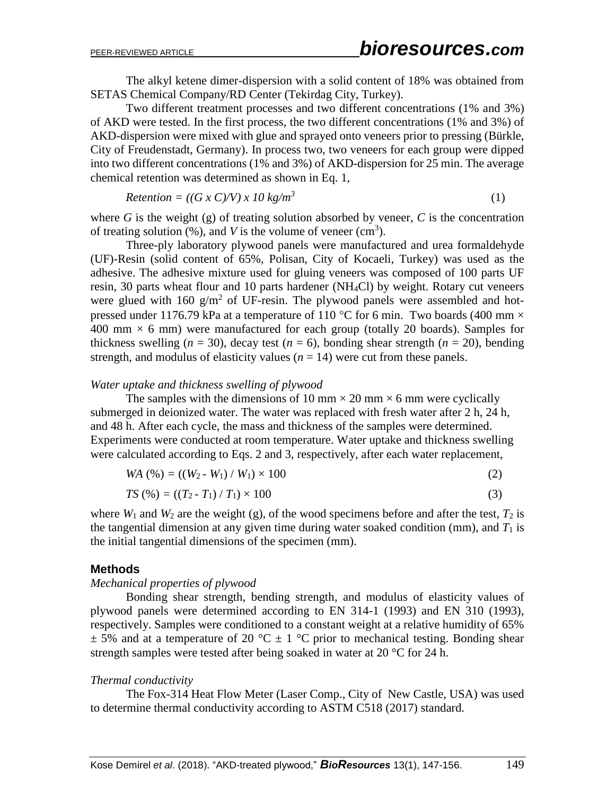The alkyl ketene dimer-dispersion with a solid content of 18% was obtained from SETAS Chemical Company/RD Center (Tekirdag City, Turkey).

Two different treatment processes and two different concentrations (1% and 3%) of AKD were tested. In the first process, the two different concentrations (1% and 3%) of AKD-dispersion were mixed with glue and sprayed onto veneers prior to pressing (Bürkle, City of Freudenstadt, Germany). In process two, two veneers for each group were dipped into two different concentrations (1% and 3%) of AKD-dispersion for 25 min. The average chemical retention was determined as shown in Eq. 1,

$$
Retention = ((G \times C)/V) \times 10 \text{ kg/m}^3
$$
\n(1)

where  $G$  is the weight  $(g)$  of treating solution absorbed by veneer,  $C$  is the concentration of treating solution  $(\%)$ , and *V* is the volume of veneer (cm<sup>3</sup>).

Three-ply laboratory plywood panels were manufactured and urea formaldehyde (UF)-Resin (solid content of 65%, Polisan, City of Kocaeli, Turkey) was used as the adhesive. The adhesive mixture used for gluing veneers was composed of 100 parts UF resin, 30 parts wheat flour and 10 parts hardener (NH4Cl) by weight. Rotary cut veneers were glued with  $160 \text{ g/m}^2$  of UF-resin. The plywood panels were assembled and hotpressed under 1176.79 kPa at a temperature of 110 °C for 6 min. Two boards (400 mm  $\times$ 400 mm  $\times$  6 mm) were manufactured for each group (totally 20 boards). Samples for thickness swelling  $(n = 30)$ , decay test  $(n = 6)$ , bonding shear strength  $(n = 20)$ , bending strength, and modulus of elasticity values  $(n = 14)$  were cut from these panels.

#### *Water uptake and thickness swelling of plywood*

The samples with the dimensions of 10 mm  $\times$  20 mm  $\times$  6 mm were cyclically submerged in deionized water. The water was replaced with fresh water after 2 h, 24 h, and 48 h. After each cycle, the mass and thickness of the samples were determined. Experiments were conducted at room temperature. Water uptake and thickness swelling were calculated according to Eqs. 2 and 3, respectively, after each water replacement,

$$
WA (%) = ((W_2 - W_1) / W_1) \times 100
$$
 (2)

$$
TS\left(\% \right) = \left( \left( T_2 - T_1 \right) / T_1 \right) \times 100\tag{3}
$$

where  $W_1$  and  $W_2$  are the weight (g), of the wood specimens before and after the test,  $T_2$  is the tangential dimension at any given time during water soaked condition (mm), and  $T_1$  is the initial tangential dimensions of the specimen (mm).

#### **Methods**

#### *Mechanical properties of plywood*

Bonding shear strength, bending strength, and modulus of elasticity values of plywood panels were determined according to EN 314-1 (1993) and EN 310 (1993), respectively. Samples were conditioned to a constant weight at a relative humidity of 65%  $\pm$  5% and at a temperature of 20 °C  $\pm$  1 °C prior to mechanical testing. Bonding shear strength samples were tested after being soaked in water at 20 °C for 24 h.

#### *Thermal conductivity*

The Fox-314 Heat Flow Meter (Laser Comp., City of New Castle, USA) was used to determine thermal conductivity according to ASTM C518 (2017) standard.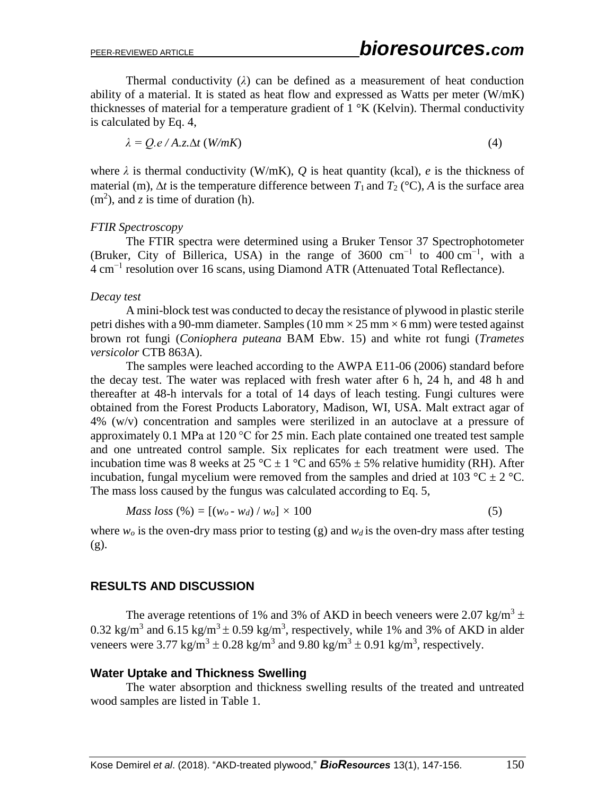Thermal conductivity  $(\lambda)$  can be defined as a measurement of heat conduction ability of a material. It is stated as heat flow and expressed as Watts per meter (W/mK) thicknesses of material for a temperature gradient of  $1 \,^{\circ}$ K (Kelvin). Thermal conductivity is calculated by Eq. 4,

$$
\lambda = Q.e / A.z. \Delta t \ (W/mK) \tag{4}
$$

where  $\lambda$  is thermal conductivity (W/mK),  $Q$  is heat quantity (kcal),  $e$  is the thickness of material (m),  $\Delta t$  is the temperature difference between  $T_1$  and  $T_2$  (°C), A is the surface area  $(m<sup>2</sup>)$ , and *z* is time of duration (h).

#### *FTIR Spectroscopy*

The FTIR spectra were determined using a Bruker Tensor 37 Spectrophotometer (Bruker, City of Billerica, USA) in the range of 3600 cm<sup>-1</sup> to  $400 \text{ cm}^{-1}$ , with a 4 cm−1 resolution over 16 scans, using Diamond ATR (Attenuated Total Reflectance).

#### *Decay test*

A mini-block test was conducted to decay the resistance of plywood in plastic sterile petri dishes with a 90-mm diameter. Samples (10 mm  $\times$  25 mm  $\times$  6 mm) were tested against brown rot fungi (*Coniophera puteana* BAM Ebw. 15) and white rot fungi (*Trametes versicolor* CTB 863A).

The samples were leached according to the AWPA E11-06 (2006) standard before the decay test. The water was replaced with fresh water after 6 h, 24 h, and 48 h and thereafter at 48-h intervals for a total of 14 days of leach testing. Fungi cultures were obtained from the Forest Products Laboratory, Madison, WI, USA. Malt extract agar of 4% (w/v) concentration and samples were sterilized in an autoclave at a pressure of approximately 0.1 MPa at 120 °C for 25 min. Each plate contained one treated test sample and one untreated control sample. Six replicates for each treatment were used. The incubation time was 8 weeks at 25 °C  $\pm$  1 °C and 65%  $\pm$  5% relative humidity (RH). After incubation, fungal mycelium were removed from the samples and dried at 103 °C  $\pm$  2 °C. The mass loss caused by the fungus was calculated according to Eq. 5,

$$
Mass loss (\%) = [(w_o - w_d) / w_o] \times 100 \tag{5}
$$

where  $w<sub>o</sub>$  is the oven-dry mass prior to testing (g) and  $w<sub>d</sub>$  is the oven-dry mass after testing (g).

# **RESULTS AND DISCUSSION**

The average retentions of 1% and 3% of AKD in beech veneers were 2.07 kg/m<sup>3</sup>  $\pm$ 0.32 kg/m<sup>3</sup> and 6.15 kg/m<sup>3</sup>  $\pm$  0.59 kg/m<sup>3</sup>, respectively, while 1% and 3% of AKD in alder veneers were 3.77 kg/m<sup>3</sup>  $\pm$  0.28 kg/m<sup>3</sup> and 9.80 kg/m<sup>3</sup>  $\pm$  0.91 kg/m<sup>3</sup>, respectively.

#### **Water Uptake and Thickness Swelling**

The water absorption and thickness swelling results of the treated and untreated wood samples are listed in Table 1.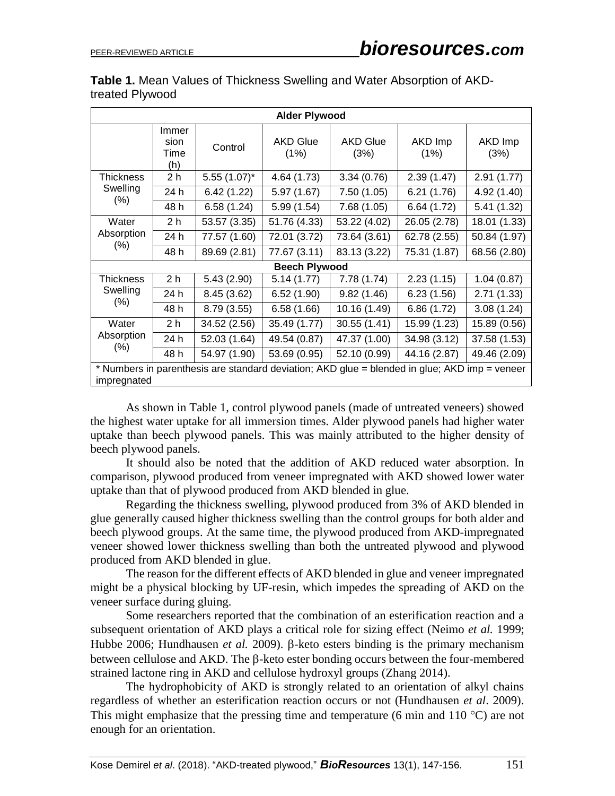| Table 1. Mean Values of Thickness Swelling and Water Absorption of AKD- |  |  |
|-------------------------------------------------------------------------|--|--|
| treated Plywood                                                         |  |  |

| <b>Alder Plywood</b>                                                                                         |                              |                |                         |                         |                 |                 |
|--------------------------------------------------------------------------------------------------------------|------------------------------|----------------|-------------------------|-------------------------|-----------------|-----------------|
|                                                                                                              | Immer<br>sion<br>Time<br>(h) | Control        | <b>AKD Glue</b><br>(1%) | <b>AKD Glue</b><br>(3%) | AKD Imp<br>(1%) | AKD Imp<br>(3%) |
| Thickness                                                                                                    | 2 <sub>h</sub>               | $5.55(1.07)^*$ | 4.64 (1.73)             | 3.34(0.76)              | 2.39(1.47)      | 2.91(1.77)      |
| Swelling                                                                                                     | 24 h                         | 6.42(1.22)     | 5.97 (1.67)             | 7.50(1.05)              | 6.21(1.76)      | 4.92 (1.40)     |
| (% )                                                                                                         | 48 h                         | 6.58(1.24)     | 5.99 (1.54)             | 7.68(1.05)              | 6.64(1.72)      | 5.41(1.32)      |
| Water                                                                                                        | 2 <sub>h</sub>               | 53.57 (3.35)   | 51.76 (4.33)            | 53.22 (4.02)            | 26.05 (2.78)    | 18.01 (1.33)    |
| Absorption                                                                                                   | 24 h                         | 77.57 (1.60)   | 72.01 (3.72)            | 73.64 (3.61)            | 62.78 (2.55)    | 50.84 (1.97)    |
| (% )                                                                                                         | 48 h                         | 89.69 (2.81)   | 77.67 (3.11)            | 83.13 (3.22)            | 75.31 (1.87)    | 68.56 (2.80)    |
| <b>Beech Plywood</b>                                                                                         |                              |                |                         |                         |                 |                 |
| Thickness                                                                                                    | 2 <sub>h</sub>               | 5.43(2.90)     | 5.14(1.77)              | 7.78(1.74)              | 2.23(1.15)      | 1.04(0.87)      |
| Swelling                                                                                                     | 24 h                         | 8.45(3.62)     | 6.52(1.90)              | 9.82(1.46)              | 6.23(1.56)      | 2.71(1.33)      |
| $(\% )$                                                                                                      | 48 h                         | 8.79(3.55)     | 6.58(1.66)              | 10.16 (1.49)            | 6.86(1.72)      | 3.08(1.24)      |
| Water                                                                                                        | 2 <sub>h</sub>               | 34.52 (2.56)   | 35.49 (1.77)            | 30.55 (1.41)            | 15.99 (1.23)    | 15.89 (0.56)    |
| Absorption                                                                                                   | 24 h                         | 52.03 (1.64)   | 49.54 (0.87)            | 47.37 (1.00)            | 34.98 (3.12)    | 37.58 (1.53)    |
| $(\% )$                                                                                                      | 48 h                         | 54.97 (1.90)   | 53.69 (0.95)            | 52.10 (0.99)            | 44.16 (2.87)    | 49.46 (2.09)    |
| * Numbers in parenthesis are standard deviation; AKD glue = blended in glue; AKD imp = veneer<br>impregnated |                              |                |                         |                         |                 |                 |

As shown in Table 1, control plywood panels (made of untreated veneers) showed the highest water uptake for all immersion times. Alder plywood panels had higher water uptake than beech plywood panels. This was mainly attributed to the higher density of beech plywood panels.

It should also be noted that the addition of AKD reduced water absorption. In comparison, plywood produced from veneer impregnated with AKD showed lower water uptake than that of plywood produced from AKD blended in glue.

Regarding the thickness swelling, plywood produced from 3% of AKD blended in glue generally caused higher thickness swelling than the control groups for both alder and beech plywood groups. At the same time, the plywood produced from AKD-impregnated veneer showed lower thickness swelling than both the untreated plywood and plywood produced from AKD blended in glue.

The reason for the different effects of AKD blended in glue and veneer impregnated might be a physical blocking by UF-resin, which impedes the spreading of AKD on the veneer surface during gluing.

Some researchers reported that the combination of an esterification reaction and a subsequent orientation of AKD plays a critical role for sizing effect (Neimo *et al.* 1999; Hubbe 2006; Hundhausen *et al.* 2009).  $\beta$ -keto esters binding is the primary mechanism between cellulose and AKD. The  $\beta$ -keto ester bonding occurs between the four-membered strained lactone ring in AKD and cellulose hydroxyl groups (Zhang 2014).

The hydrophobicity of AKD is strongly related to an orientation of alkyl chains regardless of whether an esterification reaction occurs or not (Hundhausen *et al*. 2009). This might emphasize that the pressing time and temperature (6 min and 110  $^{\circ}$ C) are not enough for an orientation.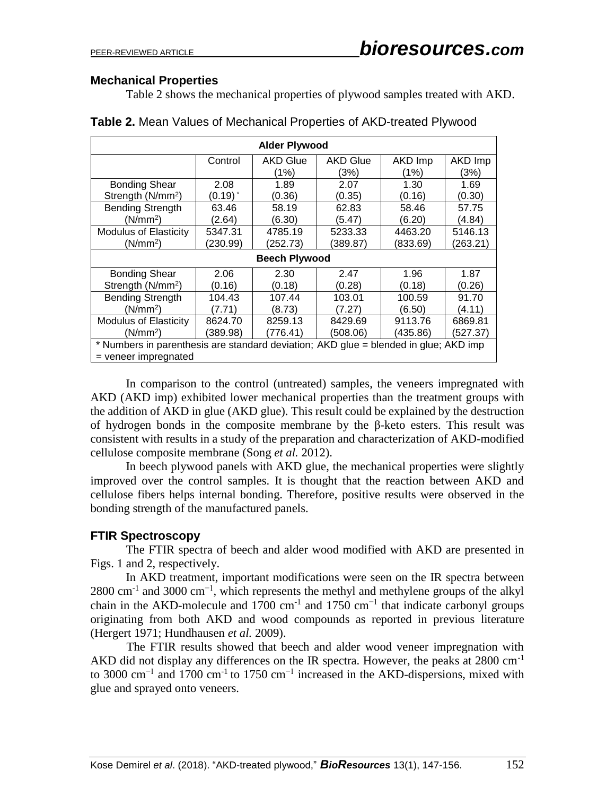# **Mechanical Properties**

Table 2 shows the mechanical properties of plywood samples treated with AKD.

| <b>Alder Plywood</b>                                                                                           |              |                 |                 |          |          |
|----------------------------------------------------------------------------------------------------------------|--------------|-----------------|-----------------|----------|----------|
|                                                                                                                | Control      | <b>AKD Glue</b> | <b>AKD Glue</b> | AKD Imp  | AKD Imp  |
|                                                                                                                |              | (1%)            | (3%)            | (1%)     | (3%)     |
| <b>Bonding Shear</b>                                                                                           | 2.08         | 1.89            | 2.07            | 1.30     | 1.69     |
| Strength (N/mm <sup>2</sup> )                                                                                  | $(0.19)^{*}$ | (0.36)          | (0.35)          | (0.16)   | (0.30)   |
| <b>Bending Strength</b>                                                                                        | 63.46        | 58.19           | 62.83           | 58.46    | 57.75    |
| (N/mm <sup>2</sup> )                                                                                           | (2.64)       | (6.30)          | (5.47)          | (6.20)   | (4.84)   |
| <b>Modulus of Elasticity</b>                                                                                   | 5347.31      | 4785.19         | 5233.33         | 4463.20  | 5146.13  |
| (N/mm <sup>2</sup> )                                                                                           | (230.99)     | (252.73)        | (389.87)        | (833.69) | (263.21) |
| <b>Beech Plywood</b>                                                                                           |              |                 |                 |          |          |
| Bonding Shear                                                                                                  | 2.06         | 2.30            | 2.47            | 1.96     | 1.87     |
| Strength (N/mm <sup>2</sup> )                                                                                  | (0.16)       | (0.18)          | (0.28)          | (0.18)   | (0.26)   |
| <b>Bending Strength</b>                                                                                        | 104.43       | 107.44          | 103.01          | 100.59   | 91.70    |
| (N/mm <sup>2</sup> )                                                                                           | (7.71)       | (8.73)          | (7.27)          | (6.50)   | (4.11)   |
| <b>Modulus of Elasticity</b>                                                                                   | 8624.70      | 8259.13         | 8429.69         | 9113.76  | 6869.81  |
| (N/mm <sup>2</sup> )                                                                                           | (389.98)     | (776.41)        | (508.06)        | (435.86) | (527.37) |
| * Numbers in parenthesis are standard deviation; AKD glue = blended in glue; AKD imp<br>$=$ veneer impregnated |              |                 |                 |          |          |

| Table 2. Mean Values of Mechanical Properties of AKD-treated Plywood |
|----------------------------------------------------------------------|
|----------------------------------------------------------------------|

In comparison to the control (untreated) samples, the veneers impregnated with AKD (AKD imp) exhibited lower mechanical properties than the treatment groups with the addition of AKD in glue (AKD glue). This result could be explained by the destruction of hydrogen bonds in the composite membrane by the β-keto esters. This result was consistent with results in a study of the preparation and characterization of AKD-modified cellulose composite membrane (Song *et al.* 2012).

In beech plywood panels with AKD glue, the mechanical properties were slightly improved over the control samples. It is thought that the reaction between AKD and cellulose fibers helps internal bonding. Therefore, positive results were observed in the bonding strength of the manufactured panels.

# **FTIR Spectroscopy**

The FTIR spectra of beech and alder wood modified with AKD are presented in Figs. 1 and 2, respectively.

In AKD treatment, important modifications were seen on the IR spectra between  $2800 \text{ cm}^{-1}$  and  $3000 \text{ cm}^{-1}$ , which represents the methyl and methylene groups of the alkyl chain in the AKD-molecule and 1700 cm<sup>-1</sup> and 1750 cm<sup>-1</sup> that indicate carbonyl groups originating from both AKD and wood compounds as reported in previous literature (Hergert 1971; Hundhausen *et al.* 2009).

The FTIR results showed that beech and alder wood veneer impregnation with AKD did not display any differences on the IR spectra. However, the peaks at 2800 cm-1 to 3000 cm−1 and 1700 cm-1 to 1750 cm−1 increased in the AKD-dispersions, mixed with glue and sprayed onto veneers.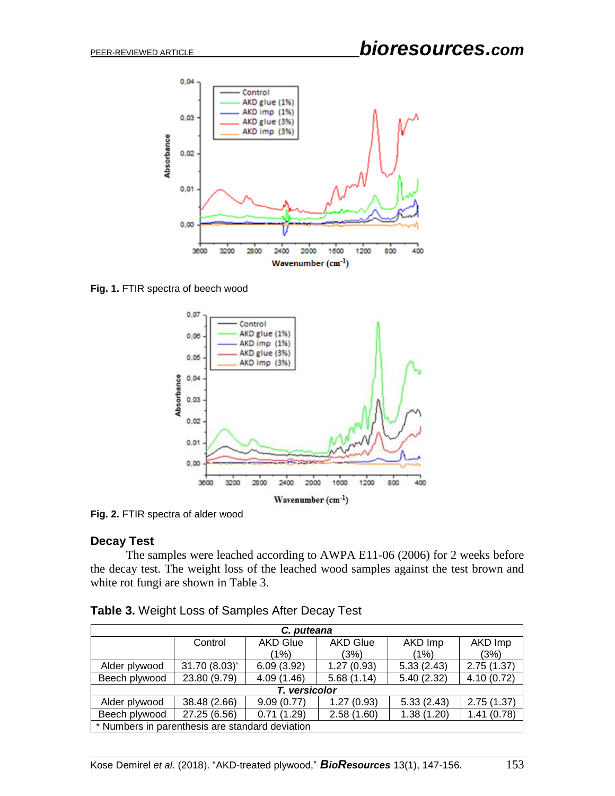

**Fig. 1.** FTIR spectra of beech wood



**Fig. 2.** FTIR spectra of alder wood

## **Decay Test**

The samples were leached according to AWPA E11-06 (2006) for 2 weeks before the decay test. The weight loss of the leached wood samples against the test brown and white rot fungi are shown in Table 3.

| C. puteana                                      |               |                 |                 |            |            |
|-------------------------------------------------|---------------|-----------------|-----------------|------------|------------|
|                                                 | Control       | <b>AKD Glue</b> | <b>AKD Glue</b> | AKD Imp    | AKD Imp    |
|                                                 |               | (1%)            | (3%)            | (1%)       | (3%)       |
| Alder plywood                                   | 31.70 (8.03)* | 6.09(3.92)      | 1.27(0.93)      | 5.33(2.43) | 2.75(1.37) |
| Beech plywood                                   | 23.80 (9.79)  | 4.09(1.46)      | 5.68(1.14)      | 5.40(2.32) | 4.10(0.72) |
| T. versicolor                                   |               |                 |                 |            |            |
| Alder plywood                                   | 38.48 (2.66)  | 9.09(0.77)      | 1.27(0.93)      | 5.33(2.43) | 2.75(1.37) |
| Beech plywood                                   | 27.25 (6.56)  | 0.71(1.29)      | 2.58(1.60)      | 1.38(1.20) | 1.41(0.78) |
| * Numbers in parenthesis are standard deviation |               |                 |                 |            |            |

| <b>Table 3. Weight Loss of Samples After Decay Test</b> |
|---------------------------------------------------------|
|---------------------------------------------------------|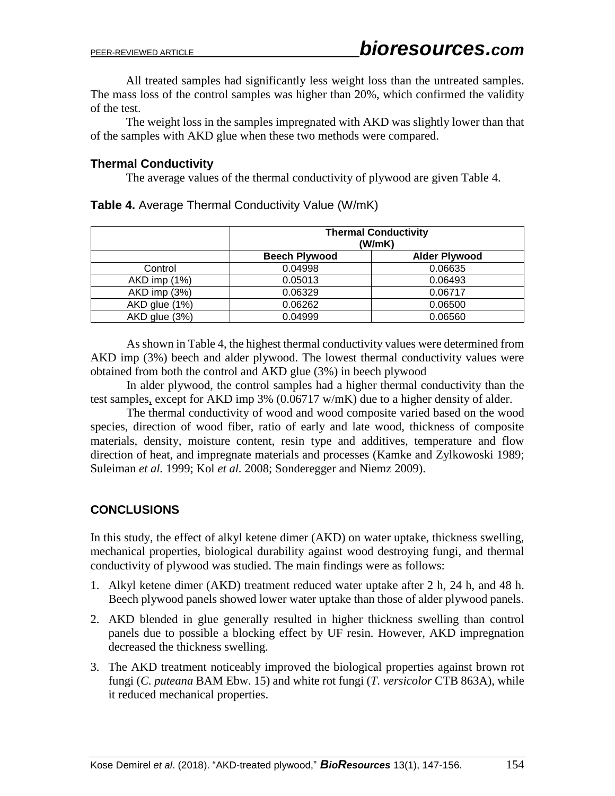All treated samples had significantly less weight loss than the untreated samples. The mass loss of the control samples was higher than 20%, which confirmed the validity of the test.

The weight loss in the samples impregnated with AKD was slightly lower than that of the samples with AKD glue when these two methods were compared.

# **Thermal Conductivity**

The average values of the thermal conductivity of plywood are given Table 4.

|               | <b>Thermal Conductivity</b><br>(W/mK) |                      |  |
|---------------|---------------------------------------|----------------------|--|
|               | <b>Beech Plywood</b>                  | <b>Alder Plywood</b> |  |
| Control       | 0.04998                               | 0.06635              |  |
| AKD imp (1%)  | 0.05013                               | 0.06493              |  |
| AKD imp (3%)  | 0.06329                               | 0.06717              |  |
| AKD glue (1%) | 0.06262                               | 0.06500              |  |
| AKD glue (3%) | 0.04999                               | 0.06560              |  |

**Table 4.** Average Thermal Conductivity Value (W/mK)

As shown in Table 4, the highest thermal conductivity values were determined from AKD imp (3%) beech and alder plywood. The lowest thermal conductivity values were obtained from both the control and AKD glue (3%) in beech plywood

In alder plywood, the control samples had a higher thermal conductivity than the test samples, except for AKD imp 3% (0.06717 w/mK) due to a higher density of alder.

The thermal conductivity of wood and wood composite varied based on the wood species, direction of wood fiber, ratio of early and late wood, thickness of composite materials, density, moisture content, resin type and additives, temperature and flow direction of heat, and impregnate materials and processes (Kamke and Zylkowoski 1989; Suleiman *et al.* 1999; Kol *et al.* 2008; Sonderegger and Niemz 2009).

# **CONCLUSIONS**

In this study, the effect of alkyl ketene dimer (AKD) on water uptake, thickness swelling, mechanical properties, biological durability against wood destroying fungi, and thermal conductivity of plywood was studied. The main findings were as follows:

- 1. Alkyl ketene dimer (AKD) treatment reduced water uptake after 2 h, 24 h, and 48 h. Beech plywood panels showed lower water uptake than those of alder plywood panels.
- 2. AKD blended in glue generally resulted in higher thickness swelling than control panels due to possible a blocking effect by UF resin. However, AKD impregnation decreased the thickness swelling.
- 3. The AKD treatment noticeably improved the biological properties against brown rot fungi (*C. puteana* BAM Ebw. 15) and white rot fungi (*T. versicolor* CTB 863A), while it reduced mechanical properties.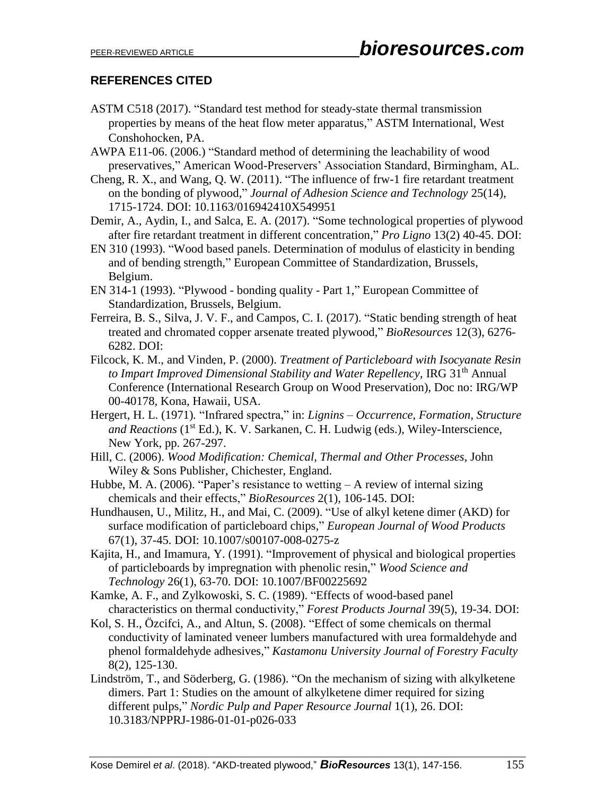# **REFERENCES CITED**

- ASTM C518 (2017). "Standard test method for steady-state thermal transmission properties by means of the heat flow meter apparatus," ASTM International, West Conshohocken, PA.
- AWPA E11-06. (2006.) "Standard method of determining the leachability of wood preservatives," American Wood-Preservers' Association Standard, Birmingham, AL.
- Cheng, R. X., and Wang, Q. W. (2011). "The influence of frw-1 fire retardant treatment on the bonding of plywood," *Journal of Adhesion Science and Technology* 25(14), 1715-1724. DOI: 10.1163/016942410X549951
- Demir, A., Aydin, I., and Salca, E. A. (2017). "Some technological properties of plywood after fire retardant treatment in different concentration," *Pro Ligno* 13(2) 40-45. DOI:
- EN 310 (1993). "Wood based panels. Determination of modulus of elasticity in bending and of bending strength," European Committee of Standardization, Brussels, Belgium.
- EN 314-1 (1993). "Plywood bonding quality Part 1," European Committee of Standardization, Brussels, Belgium.
- Ferreira, B. S., Silva, J. V. F., and Campos, C. I. (2017). "Static bending strength of heat treated and chromated copper arsenate treated plywood," *BioResources* 12(3), 6276- 6282. DOI:
- Filcock, K. M., and Vinden, P. (2000). *Treatment of Particleboard with Isocyanate Resin to Impart Improved Dimensional Stability and Water Repellency*, IRG 31th Annual Conference (International Research Group on Wood Preservation), Doc no: IRG/WP 00-40178, Kona, Hawaii, USA.
- Hergert, H. L. (1971)*.* "Infrared spectra," in: *Lignins – Occurrence, Formation, Structure*  and Reactions (1<sup>st</sup> Ed.), K. V. Sarkanen, C. H. Ludwig (eds.), Wiley-Interscience, New York, pp. 267-297.
- Hill, C. (2006). *Wood Modification: Chemical, Thermal and Other Processes*, John Wiley & Sons Publisher, Chichester, England.
- Hubbe, M. A. (2006). "Paper's resistance to wetting A review of internal sizing chemicals and their effects," *BioResources* 2(1), 106-145. DOI:
- Hundhausen, U., Militz, H., and Mai, C. (2009). "Use of alkyl ketene dimer (AKD) for surface modification of particleboard chips," *European Journal of Wood Products* 67(1), 37-45. DOI: 10.1007/s00107-008-0275-z
- Kajita, H., and Imamura, Y. (1991). "Improvement of physical and biological properties of particleboards by impregnation with phenolic resin," *Wood Science and Technology* 26(1), 63-70. DOI: 10.1007/BF00225692
- Kamke, A. F., and Zylkowoski, S. C. (1989). "Effects of wood-based panel characteristics on thermal conductivity," *Forest Products Journal* 39(5), 19-34. DOI:
- Kol, S. H., Özcifci, A., and Altun, S. (2008). "Effect of some chemicals on thermal conductivity of laminated veneer lumbers manufactured with urea formaldehyde and phenol formaldehyde adhesives*,*" *Kastamonu University Journal of Forestry Faculty* 8(2), 125-130.
- Lindström, T., and Söderberg, G. (1986). "On the mechanism of sizing with alkylketene dimers. Part 1: Studies on the amount of alkylketene dimer required for sizing different pulps," *Nordic Pulp and Paper Resource Journal* 1(1), 26. DOI: 10.3183/NPPRJ-1986-01-01-p026-033